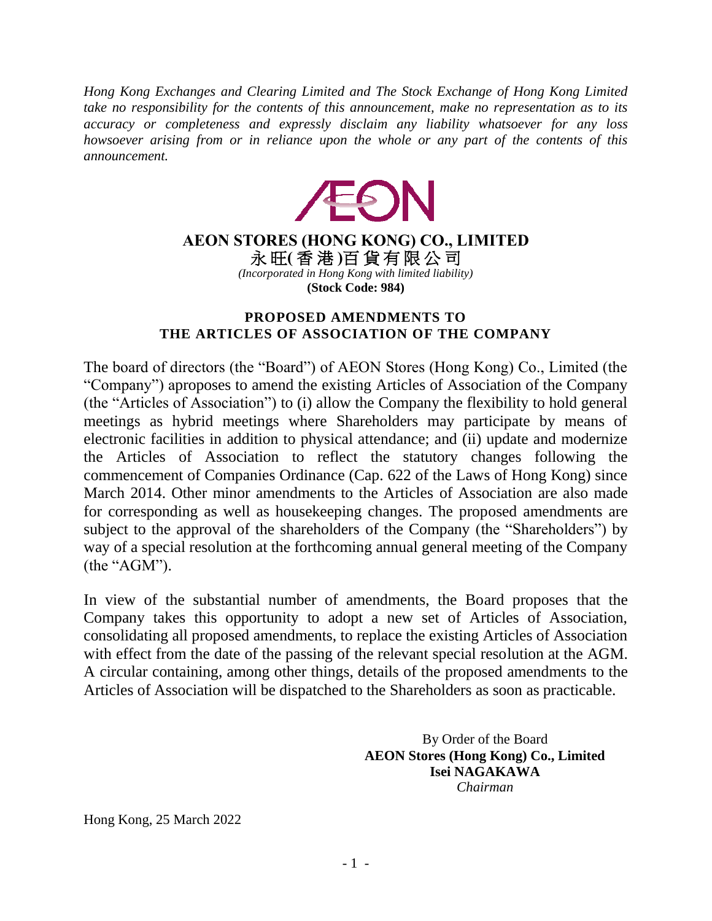*Hong Kong Exchanges and Clearing Limited and The Stock Exchange of Hong Kong Limited take no responsibility for the contents of this announcement, make no representation as to its accuracy or completeness and expressly disclaim any liability whatsoever for any loss howsoever arising from or in reliance upon the whole or any part of the contents of this announcement.*



## **AEON STORES (HONG KONG) CO., LIMITED** 永 旺**(** 香 港 **)**百 貨 有 限 公 司 *(Incorporated in Hong Kong with limited liability)*  **(Stock Code: 984)**

## **PROPOSED AMENDMENTS TO THE ARTICLES OF ASSOCIATION OF THE COMPANY**

The board of directors (the "Board") of AEON Stores (Hong Kong) Co., Limited (the "Company") aproposes to amend the existing Articles of Association of the Company (the "Articles of Association") to (i) allow the Company the flexibility to hold general meetings as hybrid meetings where Shareholders may participate by means of electronic facilities in addition to physical attendance; and (ii) update and modernize the Articles of Association to reflect the statutory changes following the commencement of Companies Ordinance (Cap. 622 of the Laws of Hong Kong) since March 2014. Other minor amendments to the Articles of Association are also made for corresponding as well as housekeeping changes. The proposed amendments are subject to the approval of the shareholders of the Company (the "Shareholders") by way of a special resolution at the forthcoming annual general meeting of the Company (the "AGM").

In view of the substantial number of amendments, the Board proposes that the Company takes this opportunity to adopt a new set of Articles of Association, consolidating all proposed amendments, to replace the existing Articles of Association with effect from the date of the passing of the relevant special resolution at the AGM. A circular containing, among other things, details of the proposed amendments to the Articles of Association will be dispatched to the Shareholders as soon as practicable.

> By Order of the Board **AEON Stores (Hong Kong) Co., Limited Isei NAGAKAWA** *Chairman*

Hong Kong, 25 March 2022